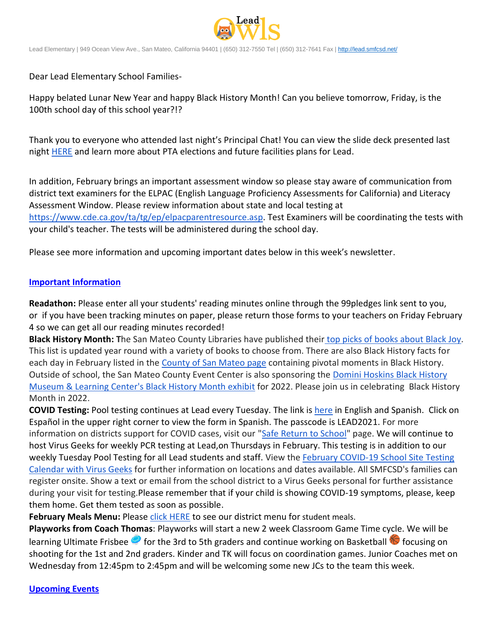

Lead Elementary | 949 Ocean View Ave., San Mateo, California 94401 | (650) 312-7550 Tel | (650) 312-7641 Fax [| http://lead.smfcsd.net/](http://lead.smfcsd.net/)

Dear Lead Elementary School Families-

Happy belated Lunar New Year and happy Black History Month! Can you believe tomorrow, Friday, is the 100th school day of this school year?!?

Thank you to everyone who attended last night's Principal Chat! You can view the slide deck presented last night [HERE](https://docs.google.com/presentation/d/1HQUa_SLNzc0g_h0Ni9Lc2NV8YmHPEXZLENREXH-vroo/edit?usp=sharing) and learn more about PTA elections and future facilities plans for Lead.

In addition, February brings an important assessment window so please stay aware of communication from district text examiners for the ELPAC (English Language Proficiency Assessments for California) and Literacy Assessment Window. Please review information about state and local testing at [https://www.cde.ca.gov/ta/tg/ep/elpacparentresource.asp.](https://www.cde.ca.gov/ta/tg/ep/elpacparentresource.asp) Test Examiners will be coordinating the tests with your child's teacher. The tests will be administered during the school day.

Please see more information and upcoming important dates below in this week's newsletter.

## **Important Information**

**Readathon:** Please enter all your students' reading minutes online through the 99pledges link sent to you, or if you have been tracking minutes on paper, please return those forms to your teachers on Friday February 4 so we can get all our reading minutes recorded!

**Black History Month: T**he San Mateo County Libraries have published their [top picks of books about Black Joy.](https://smcl.bibliocommons.com/list/share/771619447/2045601649?_ga=2.32169726.1373036272.1643672737-1491889238.1643672737) This list is updated year round with a variety of books to choose from. There are also Black History facts for each day in February listed in the [County of San Mateo page](https://www.smcacre.org/post/feature-black-history-month) containing pivotal moments in Black History. Outside of school, the San Mateo County Event Center is also sponsoring the [Domini Hoskins Black History](https://drive.google.com/file/d/1rSzCg5Xok9ShpIUFZXgXUkWI_URu1_Cj/view)  [Museum & Learning Center's Black History Month exhibit](https://drive.google.com/file/d/1rSzCg5Xok9ShpIUFZXgXUkWI_URu1_Cj/view) for 2022. Please join us in celebrating Black History Month in 2022.

**COVID Testing:** Pool testing continues at Lead every Tuesday. The link is [here](https://testcenter.concentricbyginkgo.com/minor-consent/) in English and Spanish. Click on Español in the upper right corner to view the form in Spanish. The passcode is LEAD2021. For more information on districts support for COVID cases, visit our ["Safe Return to School"](http://www.smfcsd.net/en/covid-19-updates-resources/covid-19-updates.html) page. We will continue to host Virus Geeks for weekly PCR testing at Lead,on Thursdays in February. This testing is in addition to our weekly Tuesday Pool Testing for all Lead students and staff. View the February COVID-19 School Site Testing [Calendar with Virus Geeks](http://www.smfcsd.net/en/assets/files/Communications/COVID-19/COVID-19%20School%20Testing%20-%20February%202022.pdf) for further information on locations and dates available. All SMFCSD's families can register onsite. Show a text or email from the school district to a Virus Geeks personal for further assistance during your visit for testing.Please remember that if your child is showing COVID-19 symptoms, please, keep them home. Get them tested as soon as possible.

**February Meals Menu:** Please [click HERE](http://www.smfcsd.net/en/assets/files/Nutrition%20and%20School%20Meals/February%202022%20Menu.pdf) to see our district menu for student meals.

**Playworks from Coach Thomas**: Playworks will start a new 2 week Classroom Game Time cycle. We will be learning Ultimate Frisbee  $\bullet$  for the 3rd to 5th graders and continue working on Basketball  $\bullet$  focusing on shooting for the 1st and 2nd graders. Kinder and TK will focus on coordination games. Junior Coaches met on Wednesday from 12:45pm to 2:45pm and will be welcoming some new JCs to the team this week.

## **Upcoming Events**